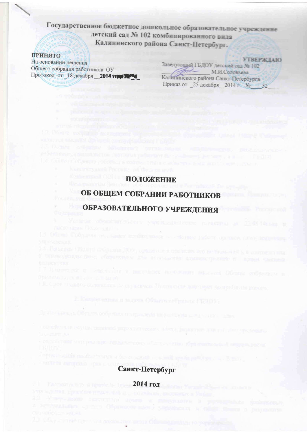Государственное бюджетное дошкольное образовательное учреждение детский сад № 102 комбинированного вида Калининского района Санкт-Петербург.

#### **ПРИНЯТО**

×

На основании решения Общего собрания работников ОУ Протокол от 18 декабря 2014 года 1

**УТВЕРЖЛАЮ** Заведующий ГБДОУ детский сад № 102 М.И.Соловьева Калининского района Санкт-Петербурга Приказ от \_25 декабря \_2014 г. № 32

# **ПОЛОЖЕНИЕ**

## ОБ ОБЩЕМ СОБРАНИИ РАБОТНИКОВ

## ОБРАЗОВАТЕЛЬНОГО УЧРЕЖДЕНИЯ

1.5 Обсто Собрания из славяет прибледимом и некорно изборе органов слову парамин-

### Санкт-Петербург

 $\mathbb{R}^{\mathbb{N}}$  . Partition over a upon the Lipsch  $2014$  rog is mainly for the construction of the  $\mathbb{R}^n$ 

2.0 Обер атотом брит владения состав Обемпедия Андено учитаем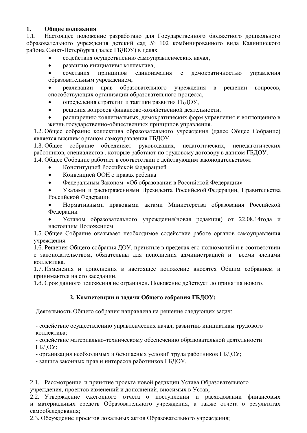#### 1. **Общие положения**

1.1. Настоящее положение разработано для Государственного бюджетного дошкольного образовательного учреждения детский сад № 102 комбинированного вида Калининского района Санкт-Петербурга (далее ГБДОУ) в целях

- содействия осуществлению самоуправленческих начал,
- развитию инициативы коллектива,
- сочетания принципов единоначалия с демократичностью управления образовательным учреждением,
- реализации прав образовательного учреждения в решении вопросов, способствующих организации образовательного процесса,
- определения стратегии и тактики развития ГБДОУ,
- решения вопросов финансово-хозяйственной деятельности,
- расширению коллегиальных, демократических форм управления и воплощению в жизнь государственно-общественных принципов управления.

1.2. Общее собрание коллектива образовательного учреждения (далее Общее Собрание) является высшим органом самоуправления ГБДОУ

1.3. Общее собрание объединяет руководящих, педагогических, непедагогических работников, специалистов, которые работают по трудовому договору в данном ГБДОУ.

1.4. Общее Собрание работает в соответствии с действующим законодательством:

- Конституцией Российской Федерацией
- Конвенцией ООН о правах ребенка
- Федеральным Законом «Об образовании в Российской Федерации»
- Указами и распоряжениями Президента Российской Федерации, Правительства Российской Федерации
- Нормативными правовыми актами Министерства образования Российской Федерации
- Уставом образовательного учреждения (новая редакция) от 22.08.14 года и настоящим Положением

1.5. Общее Собрание оказывает необходимое содействие работе органов самоуправления учреждения.

1.6. Решения Общего собрания ДОУ, принятые в пределах его полномочий и в соответствии с законодательством, обязательны для исполнения администрацией и всеми членами коллектива.

1.7. Изменения и дополнения в настоящее положение вносятся Общим собранием и принимаются на его заседании.

1.8. Срок данного положения не ограничен. Положение действует до принятия нового.

#### 2. Компетенции и задачи Общего собрания ГБДОУ:

Деятельность Общего собрания направлена на решение следующих задач:

- содействие осуществлению управленческих начал, развитию инициативы трудового коллектива:

- содействие материально-техническому обеспечению образовательной деятельности ГБДОУ;

- организация необходимых и безопасных условий труда работников ГБДОУ;

- защита законных прав и интересов работников ГБДОУ.

2.1. Рассмотрение и принятие проекта новой редакции Устава Образовательного учреждения, проектов изменений и дополнений, вносимых в Устав;

2.2. Утверждение ежегодного отчета о поступлении и расходовании финансовых и материальных средств Образовательного учреждения, а также отчета о результатах самообследования;

2.3. Обсуждение проектов локальных актов Образовательного учреждения;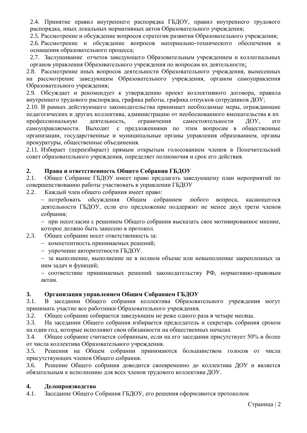2.4. Принятие правил внутреннего распорядка ГБДОУ, правил внутреннего трудового распорядка, иных локальных нормативных актов Образовательного учреждения;

2.5. Рассмотрение и обсуждение вопросов стратегии развития Образовательного учреждения;

2.6. Рассмотрение и обсуждение вопросов материально-технического обеспечения и оснащения образовательного процесса;

2.7. Заслушивание отчетов заведующего Образовательным учреждением и коллегиальных органов управления Образовательного учреждения по вопросам их деятельности;

2.8. Рассмотрение иных вопросов деятельности Образовательного учреждения, вынесенных на рассмотрение заведующим Образовательного учреждения, органом самоуправления Образовательного учреждения;

2.9. Обсуждает и рекомендует к утверждению проект коллективного договора, правила внутреннего трудового распорядка, графика работы, графика отпусков сотрудников ДОУ;

2.10. В рамках действующего законодательства принимает необходимые меры, ограждающие педагогических и других коллектива, администрацию от необоснованного вмешательства в их профессиональную деятельность, ограничения самостоятельности ДОУ, его самоуправляемости. Выходит с предложениями по этим вопросам в общественные организации, государственные и муниципальные органы управления образованием, органы прокуратуры, общественные объединения.

2.11. Избирает (переизбирает) прямым открытым голосованием членов в Попечительский совет образовательного учреждения, определяет полномочия и срок его действия.

#### 2. Права и ответственность Общего Собрания ГБДОУ

2.1. Общее Собрание ГБДОУ имеет право предлагать заведующему план мероприятий по совершенствованию работы участвовать в управлении ГБДОУ

2.2. Каждый член общего собрания имеет право:

- потребовать обсуждения Общим собранием любого вопроса, касающегося деятельности ГБДОУ, если его предложение поддержит не менее двух трети членов собрания;

– при несогласии с решением Общего собрания высказать свое мотивированное мнение, которое должно быть занесено в протокол.

#### 2.3. Общее собрание несет ответственность за:

- компетентность принимаемых решений;

– упрочение авторитетности ГБДОУ.

– за выполнение, выполнение не в полном объеме или невыполнение закрепленных за ним задач и функций;

- соответствие принимаемых решений законодательству РФ, нормативно-правовым актам.

#### 3. Организация управлением Общим Собранием ГБДОУ

3.1. В заседании Общего собрания коллектива Образовательного учреждения могут принимать участие все работники Образовательного учреждения.

3.2. Общее собрание собирается заведующим не реже одного раза в четыре месяца.

3.3. На заседании Общего собрания избирается председатель и секретарь собрания сроком на один год, которые исполняют свои обязанности на общественных началах

3.4. Общее собрание считается собранным, если на его заседании присутствует 50% и более от числа коллектива Образовательного учреждения.

3.5. Решения на Общем собрании принимаются большинством голосов от числа присутствующих членов Общего собрания.

3.6. Решение Общего собрания доводится своевременно до коллектива ДОУ и является обязательным к исполнению для всех членов трудового коллектива ДОУ.

#### 4. **Пелопроизводство**

4.1. Заседание Общего Собрания ГБДОУ, его решения оформляются протоколом